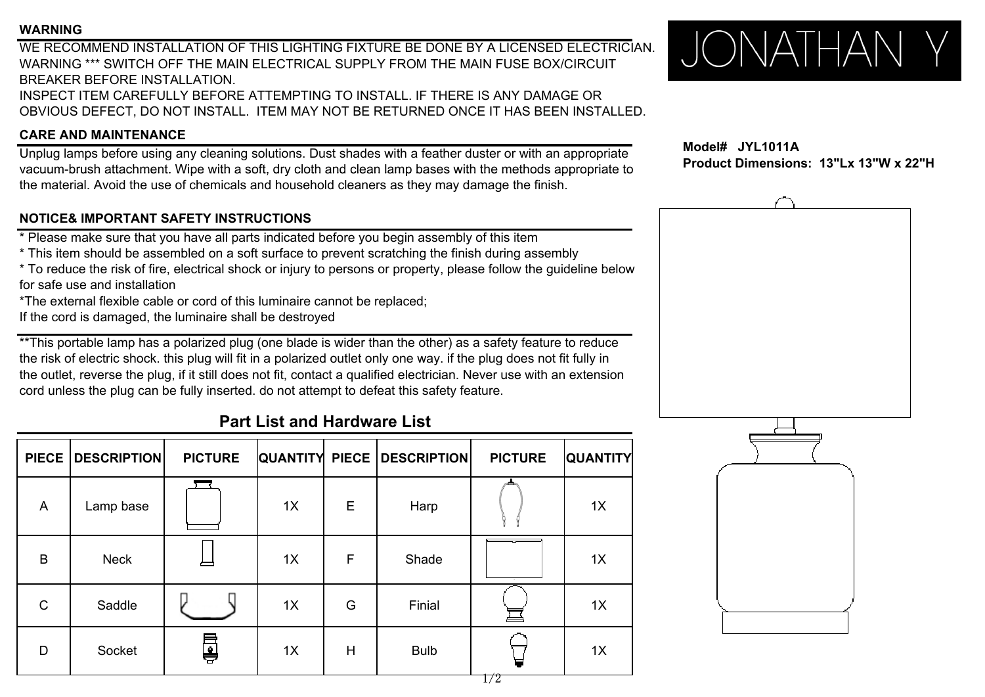### **WARNING**

WE RECOMMEND INSTALLATION OF THIS LIGHTING FIXTURE BE DONE BY A LICENSED ELECTRICIAN.WARNING \*\*\* SWITCH OFF THE MAIN ELECTRICAL SUPPLY FROM THE MAIN FUSE BOX/CIRCUITBREAKER BEFORE INSTALLATION.INSPECT ITEM CAREFULLY BEFORE ATTEMPTING TO INSTALL. IF THERE IS ANY DAMAGE OR OBVIOUS DEFECT, DO NOT INSTALL. ITEM MAY NOT BE RETURNED ONCE IT HAS BEEN INSTALLED.

### **CARE AND MAINTENANCE**

Unplug lamps before using any cleaning solutions. Dust shades with a feather duster or with an appropriate vacuum-brush attachment. Wipe with a soft, dry cloth and clean lamp bases with the methods appropriate to the material. Avoid the use of chemicals and household cleaners as they may damage the finish.

## **NOTICE& IMPORTANT SAFETY INSTRUCTIONS**

\* Please make sure that you have all parts indicated before you begin assembly of this item

- \* This item should be assembled on <sup>a</sup> soft surface to prevent scratching the finish during assembly
- \* To reduce the risk of fire, electrical shock or injury to persons or property, please follow the guideline below for safe use and installation
- \*The external flexible cable or cord of this luminaire cannot be replaced;
- If the cord is damaged, the luminaire shall be destroyed

\*\*This portable lamp has a polarized plug (one blade is wider than the other) as a safety feature to reduce the risk of electric shock. this plug will fit in a polarized outlet only one way. if the plug does not fit fully in the outlet, reverse the plug, if it still does not fit, contact a qualified electrician. Never use with an extension cord unless the plug can be fully inserted. do not attempt to defeat this safety feature.

# **Part List and Hardware List**

|             | PIECE   DESCRIPTION | <b>PICTURE</b> |    |   | <b>QUANTITY PIECE DESCRIPTION</b> | <b>PICTURE</b> | <b>QUANTITY</b> |
|-------------|---------------------|----------------|----|---|-----------------------------------|----------------|-----------------|
| A           | Lamp base           |                | 1X | E | Harp                              |                | 1X              |
| B           | <b>Neck</b>         |                | 1X | F | Shade                             |                | 1X              |
| $\mathsf C$ | Saddle              |                | 1X | G | Finial                            |                | 1X              |
| D           | Socket              | ę              | 1X | H | <b>Bulb</b>                       |                | 1X              |



 **Model# JYL1011A Product Dimensions: 13"Lx 13"W x 22"H**